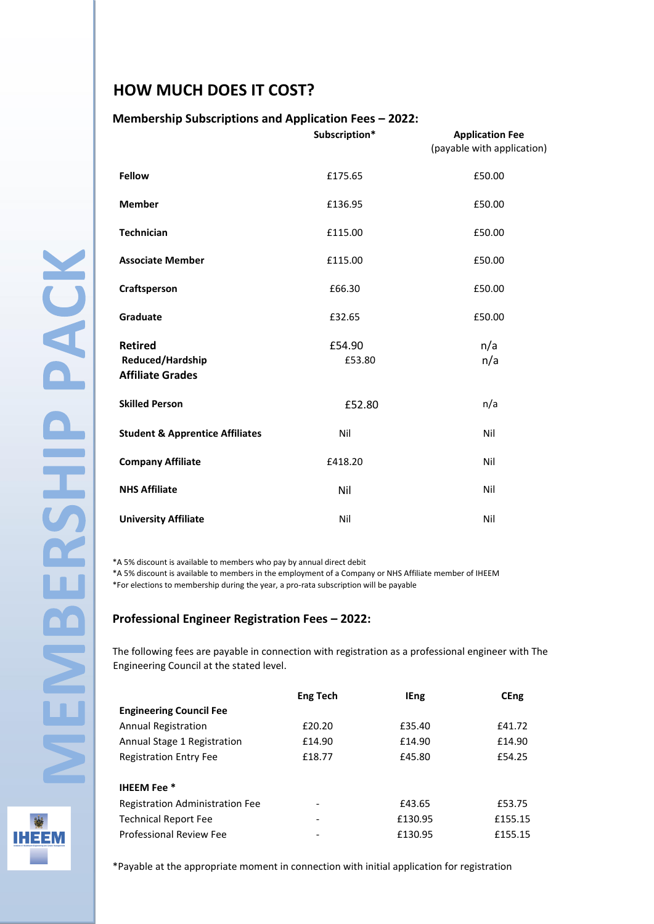## **HOW MUCH DOES IT COST?**

## **Membership Subscriptions and Application Fees – 2022:**

|                                                               | Subscription*    | <b>Application Fee</b><br>(payable with application) |
|---------------------------------------------------------------|------------------|------------------------------------------------------|
| <b>Fellow</b>                                                 | £175.65          | £50.00                                               |
| <b>Member</b>                                                 | £136.95          | £50.00                                               |
| <b>Technician</b>                                             | £115.00          | £50.00                                               |
| <b>Associate Member</b>                                       | £115.00          | £50.00                                               |
| Craftsperson                                                  | £66.30           | £50.00                                               |
| Graduate                                                      | £32.65           | £50.00                                               |
| <b>Retired</b><br>Reduced/Hardship<br><b>Affiliate Grades</b> | £54.90<br>£53.80 | n/a<br>n/a                                           |
| <b>Skilled Person</b>                                         | £52.80           | n/a                                                  |
| <b>Student &amp; Apprentice Affiliates</b>                    | Nil              | Nil                                                  |
| <b>Company Affiliate</b>                                      | £418.20          | Nil                                                  |
| <b>NHS Affiliate</b>                                          | Nil              | Nil                                                  |
| <b>University Affiliate</b>                                   | Nil              | Nil                                                  |

\*A 5% discount is available to members who pay by annual direct debit

\*A 5% discount is available to members in the employment of a Company or NHS Affiliate member of IHEEM \*For elections to membership during the year, a pro-rata subscription will be payable

## **Professional Engineer Registration Fees – 2022:**

The following fees are payable in connection with registration as a professional engineer with The Engineering Council at the stated level.

|                                 | <b>Eng Tech</b> | <b>IEng</b> | <b>CEng</b> |
|---------------------------------|-----------------|-------------|-------------|
| <b>Engineering Council Fee</b>  |                 |             |             |
| Annual Registration             | £20.20          | £35.40      | £41.72      |
| Annual Stage 1 Registration     | £14.90          | £14.90      | £14.90      |
| <b>Registration Entry Fee</b>   | £18.77          | £45.80      | £54.25      |
|                                 |                 |             |             |
| <b>IHEEM Fee</b> *              |                 |             |             |
| Registration Administration Fee |                 | £43.65      | £53.75      |
| <b>Technical Report Fee</b>     | -               | £130.95     | £155.15     |
| Professional Review Fee         |                 | £130.95     | £155.15     |

**IHEEM** 

\*Payable at the appropriate moment in connection with initial application for registration